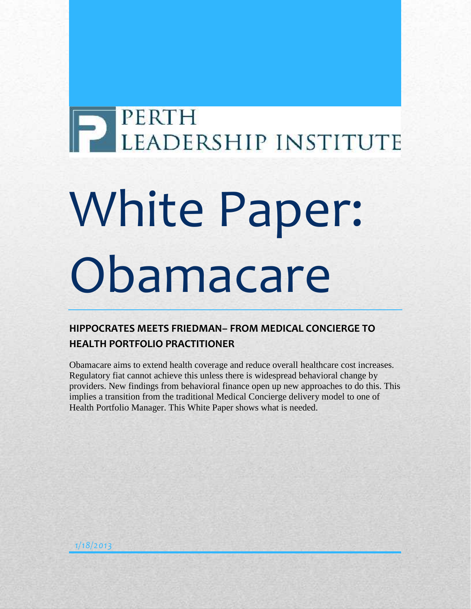# P PERTH LEADERSHIP INSTITUTE

# White Paper: **Obamacare**

# **HIPPOCRATES MEETS FRIEDMAN– FROM MEDICAL CONCIERGE TO HEALTH PORTFOLIO PRACTITIONER**

Obamacare aims to extend health coverage and reduce overall healthcare cost increases. Regulatory fiat cannot achieve this unless there is widespread behavioral change by providers. New findings from behavioral finance open up new approaches to do this. This implies a transition from the traditional Medical Concierge delivery model to one of Health Portfolio Manager. This White Paper shows what is needed.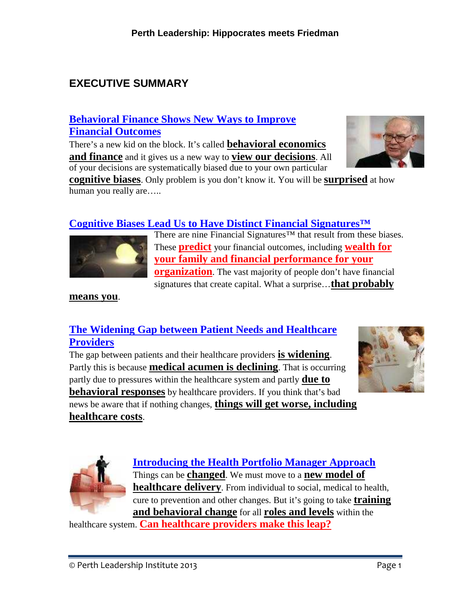# **EXECUTIVE SUMMARY**

# **Behavioral Finance Shows New Ways to Improve Financial Outcomes**

There's a new kid on the block. It's called **behavioral economics and finance** and it gives us a new way to **view our decisions**. All of your decisions are systematically biased due to your own particular



**cognitive biases**. Only problem is you don't know it. You will be **surprised** at how human you really are.....

# **Cognitive Biases Lead Us to Have Distinct Financial Signatures™**



There are nine Financial Signatures™ that result from these biases. These **predict** your financial outcomes, including **wealth for your family and financial performance for your organization**. The vast majority of people don't have financial signatures that create capital. What a surprise…**that probably**

#### **means you**.

# **The Widening Gap between Patient Needs and Healthcare Providers**

The gap between patients and their healthcare providers **is widening**. Partly this is because **medical acumen is declining**. That is occurring partly due to pressures within the healthcare system and partly **due to behavioral responses** by healthcare providers. If you think that's bad news be aware that if nothing changes, **things will get worse, including healthcare costs**.





**Introducing the Health Portfolio Manager Approach** Things can be **changed**. We must move to a **new model of healthcare delivery**. From individual to social, medical to health, cure to prevention and other changes. But it's going to take **training and behavioral change** for all **roles and levels** within the

healthcare system. **Can healthcare providers make this leap?**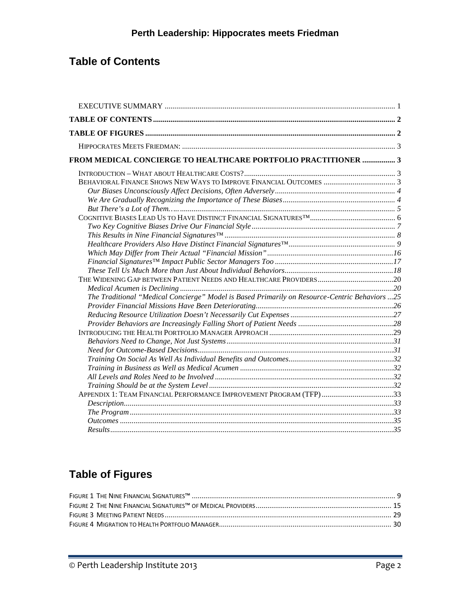# **Table of Contents**

| FROM MEDICAL CONCIERGE TO HEALTHCARE PORTFOLIO PRACTITIONER  3                                |
|-----------------------------------------------------------------------------------------------|
|                                                                                               |
|                                                                                               |
|                                                                                               |
|                                                                                               |
|                                                                                               |
|                                                                                               |
|                                                                                               |
|                                                                                               |
|                                                                                               |
|                                                                                               |
|                                                                                               |
|                                                                                               |
|                                                                                               |
|                                                                                               |
|                                                                                               |
|                                                                                               |
|                                                                                               |
|                                                                                               |
| The Traditional "Medical Concierge" Model is Based Primarily on Resource-Centric Behaviors 25 |
|                                                                                               |
|                                                                                               |
|                                                                                               |
|                                                                                               |
|                                                                                               |
|                                                                                               |
|                                                                                               |
|                                                                                               |
|                                                                                               |
|                                                                                               |
| APPENDIX 1: TEAM FINANCIAL PERFORMANCE IMPROVEMENT PROGRAM (TFP)33                            |
|                                                                                               |
|                                                                                               |
|                                                                                               |
|                                                                                               |

# **Table of Figures**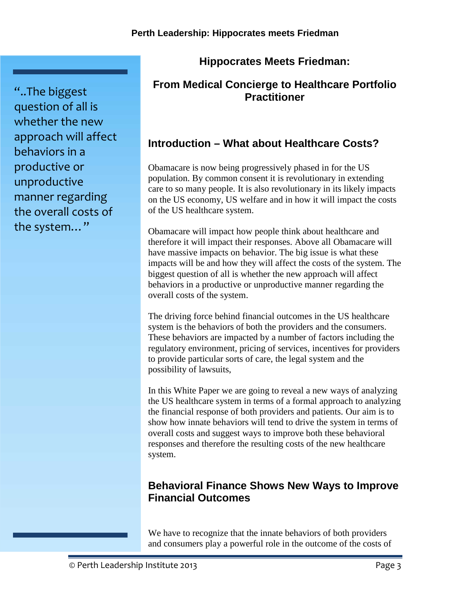# **Hippocrates Meets Friedman:**

# **From Medical Concierge to Healthcare Portfolio Practitioner**

# **Introduction – What about Healthcare Costs?**

Obamacare is now being progressively phased in for the US population. By common consent it is revolutionary in extending care to so many people. It is also revolutionary in its likely impacts on the US economy, US welfare and in how it will impact the costs of the US healthcare system.

Obamacare will impact how people think about healthcare and therefore it will impact their responses. Above all Obamacare will have massive impacts on behavior. The big issue is what these impacts will be and how they will affect the costs of the system. The biggest question of all is whether the new approach will affect behaviors in a productive or unproductive manner regarding the overall costs of the system.

The driving force behind financial outcomes in the US healthcare system is the behaviors of both the providers and the consumers. These behaviors are impacted by a number of factors including the regulatory environment, pricing of services, incentives for providers to provide particular sorts of care, the legal system and the possibility of lawsuits,

In this White Paper we are going to reveal a new ways of analyzing the US healthcare system in terms of a formal approach to analyzing the financial response of both providers and patients. Our aim is to show how innate behaviors will tend to drive the system in terms of overall costs and suggest ways to improve both these behavioral responses and therefore the resulting costs of the new healthcare system.

# **Behavioral Finance Shows New Ways to Improve Financial Outcomes**

We have to recognize that the innate behaviors of both providers and consumers play a powerful role in the outcome of the costs of

"..The biggest question of all is whether the new approach will affect behaviors in a productive or unproductive manner regarding the overall costs of the system…"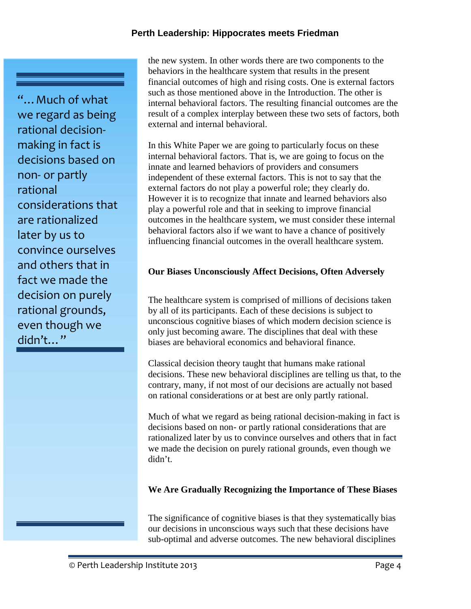"…Much of what we regard as being rational decision making in fact is decisions based on non- or partly rational considerations that are rationalized later by us to convince ourselves and others that in fact we made the decision on purely rational grounds, even though we didn't…"

the new system. In other words there are two components to the behaviors in the healthcare system that results in the present financial outcomes of high and rising costs. One is external factors such as those mentioned above in the Introduction. The other is internal behavioral factors. The resulting financial outcomes are the result of a complex interplay between these two sets of factors, both external and internal behavioral.

In this White Paper we are going to particularly focus on these internal behavioral factors. That is, we are going to focus on the innate and learned behaviors of providers and consumers independent of these external factors. This is not to say that the external factors do not play a powerful role; they clearly do. However it is to recognize that innate and learned behaviors also play a powerful role and that in seeking to improve financial outcomes in the healthcare system, we must consider these internal behavioral factors also if we want to have a chance of positively influencing financial outcomes in the overall healthcare system.

#### **Our Biases Unconsciously Affect Decisions, Often Adversely**

The healthcare system is comprised of millions of decisions taken by all of its participants. Each of these decisions is subject to unconscious cognitive biases of which modern decision science is only just becoming aware. The disciplines that deal with these biases are behavioral economics and behavioral finance.

Classical decision theory taught that humans make rational decisions. These new behavioral disciplines are telling us that, to the contrary, many, if not most of our decisions are actually not based on rational considerations or at best are only partly rational.

Much of what we regard as being rational decision-making in fact is decisions based on non- or partly rational considerations that are rationalized later by us to convince ourselves and others that in fact we made the decision on purely rational grounds, even though we didn't.

#### **We Are Gradually Recognizing the Importance of These Biases**

The significance of cognitive biases is that they systematically bias our decisions in unconscious ways such that these decisions have sub-optimal and adverse outcomes. The new behavioral disciplines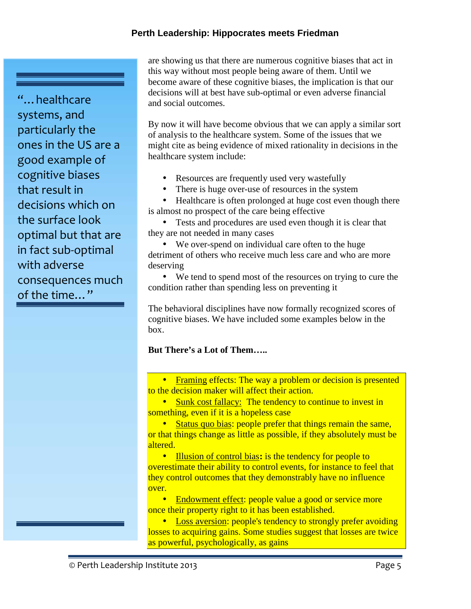"…healthcare systems, and particularly the ones in the US are a good example of cognitive biases that result in decisions which on the surface look optimal but that are in fact sub-optimal with adverse consequences much of the time…"

are showing us that there are numerous cognitive biases that act in this way without most people being aware of them. Until we become aware of these cognitive biases, the implication is that our decisions will at best have sub-optimal or even adverse financial and social outcomes.

By now it will have become obvious that we can apply a similar sort of analysis to the healthcare system. Some of the issues that we might cite as being evidence of mixed rationality in decisions in the healthcare system include:

- Resources are frequently used very wastefully
- There is huge over-use of resources in the system

• Healthcare is often prolonged at huge cost even though there is almost no prospect of the care being effective

 Tests and procedures are used even though it is clear that they are not needed in many cases

 We over-spend on individual care often to the huge detriment of others who receive much less care and who are more deserving

 We tend to spend most of the resources on trying to cure the condition rather than spending less on preventing it

The behavioral disciplines have now formally recognized scores of cognitive biases. We have included some examples below in the box.

#### **But There's a Lot of Them…..**

 Framing effects: The way a problem or decision is presented to the decision maker will affect their action.

• Sunk cost fallacy: The tendency to continue to invest in something, even if it is a hopeless case

• Status quo bias: people prefer that things remain the same, or that things change as little as possible, if they absolutely must be altered.

**Illusion of control bias: is the tendency for people to** overestimate their ability to control events, for instance to feel that they control outcomes that they demonstrably have no influence over.

 Endowment effect: people value a good or service more once their property right to it has been established.

• Loss aversion: people's tendency to strongly prefer avoiding losses to acquiring gains. Some studies suggest that losses are twice as powerful, psychologically, as gains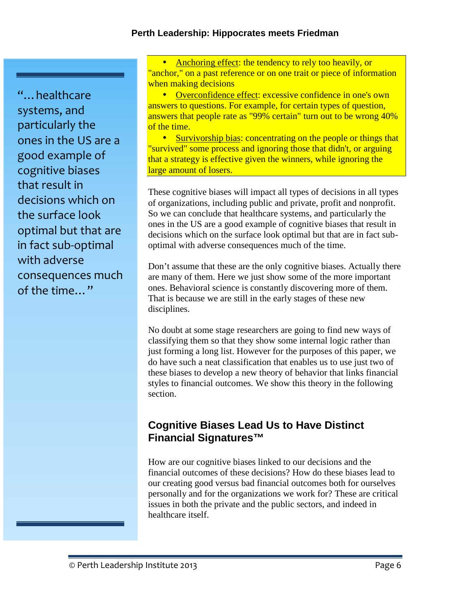"…healthcare systems, and particularly the ones in the US are a good example of cognitive biases that result in decisions which on the surface look optimal but that are in fact sub-optimal with adverse consequences much of the time…"

 Anchoring effect: the tendency to rely too heavily, or "anchor," on a past reference or on one trait or piece of information when making decisions

• Overconfidence effect: excessive confidence in one's own answers to questions. For example, for certain types of question, answers that people rate as "99% certain" turn out to be wrong 40% of the time.

• Survivorship bias: concentrating on the people or things that "survived" some process and ignoring those that didn't, or arguing that a strategy is effective given the winners, while ignoring the large amount of losers.

These cognitive biases will impact all types of decisions in all types of organizations, including public and private, profit and nonprofit. So we can conclude that healthcare systems, and particularly the ones in the US are a good example of cognitive biases that result in decisions which on the surface look optimal but that are in fact sub optimal with adverse consequences much of the time.

Don't assume that these are the only cognitive biases. Actually there are many of them. Here we just show some of the more important ones. Behavioral science is constantly discovering more of them. That is because we are still in the early stages of these new disciplines.

No doubt at some stage researchers are going to find new ways of classifying them so that they show some internal logic rather than just forming a long list. However for the purposes of this paper, we do have such a neat classification that enables us to use just two of these biases to develop a new theory of behavior that links financial styles to financial outcomes. We show this theory in the following section.

# **Cognitive Biases Lead Us to Have Distinct Financial Signatures™**

How are our cognitive biases linked to our decisions and the financial outcomes of these decisions? How do these biases lead to our creating good versus bad financial outcomes both for ourselves personally and for the organizations we work for? These are critical issues in both the private and the public sectors, and indeed in healthcare itself.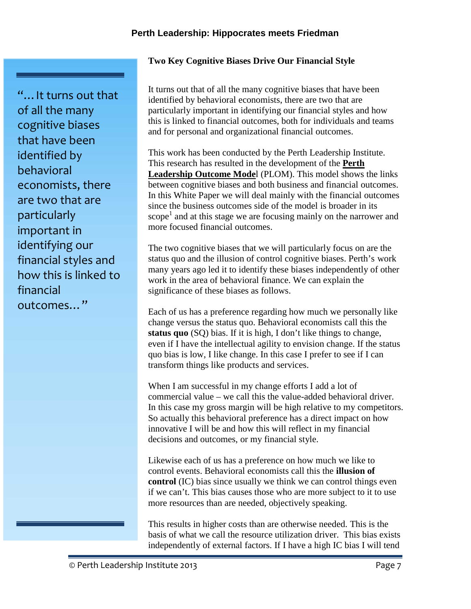#### **Two Key Cognitive Biases Drive Our Financial Style**

"…It turns out that of all the many cognitive biases that have been identified by behavioral economists, there are two that are particularly important in identifying our financial styles and how this is linked to financial outcomes…"

It turns out that of all the many cognitive biases that have been identified by behavioral economists, there are two that are particularly important in identifying our financial styles and how this is linked to financial outcomes, both for individuals and teams and for personal and organizational financial outcomes.

This work has been conducted by the Perth Leadership Institute. This research has resulted in the development of the **Perth Leadership Outcome Mode**l (PLOM). This model shows the links between cognitive biases and both business and financial outcomes. In this White Paper we will deal mainly with the financial outcomes since the business outcomes side of the model is broader in its  $\text{scope}^1$  and at this stage we are focusing mainly on the narrower and more focused financial outcomes.

The two cognitive biases that we will particularly focus on are the status quo and the illusion of control cognitive biases. Perth's work many years ago led it to identify these biases independently of other work in the area of behavioral finance. We can explain the significance of these biases as follows.

Each of us has a preference regarding how much we personally like change versus the status quo. Behavioral economists call this the **status quo** (SQ) bias. If it is high, I don't like things to change, even if I have the intellectual agility to envision change. If the status quo bias is low, I like change. In this case I prefer to see if I can transform things like products and services.

When I am successful in my change efforts I add a lot of commercial value – we call this the value-added behavioral driver. In this case my gross margin will be high relative to my competitors. So actually this behavioral preference has a direct impact on how innovative I will be and how this will reflect in my financial decisions and outcomes, or my financial style.

Likewise each of us has a preference on how much we like to control events. Behavioral economists call this the **illusion of control** (IC) bias since usually we think we can control things even if we can't. This bias causes those who are more subject to it to use more resources than are needed, objectively speaking.

This results in higher costs than are otherwise needed. This is the basis of what we call the resource utilization driver. This bias exists independently of external factors. If I have a high IC bias I will tend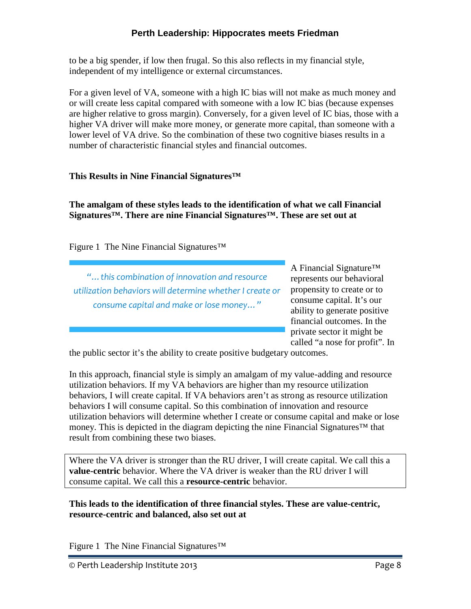to be a big spender, if low then frugal. So this also reflects in my financial style, independent of my intelligence or external circumstances.

For a given level of VA, someone with a high IC bias will not make as much money and or will create less capital compared with someone with a low IC bias (because expenses are higher relative to gross margin). Conversely, for a given level of IC bias, those with a higher VA driver will make more money, or generate more capital, than someone with a lower level of VA drive. So the combination of these two cognitive biases results in a number of characteristic financial styles and financial outcomes.

## **This Results in Nine Financial Signatures™**

**The amalgam of these styles leads to the identification of what we call Financial Signatures™. There are nine Financial Signatures™. These are set out at**

Figure 1 The Nine Financial Signatures™

*"…this combination of innovation and resource utilization behaviors will determine whether I create or consume capital and make or lose money…"*

A Financial Signature™ represents our behavioral propensity to create or to consume capital. It's our ability to generate positive financial outcomes. In the private sector it might be called "a nose for profit". In

the public sector it's the ability to create positive budgetary outcomes.

In this approach, financial style is simply an amalgam of my value-adding and resource utilization behaviors. If my VA behaviors are higher than my resource utilization behaviors, I will create capital. If VA behaviors aren't as strong as resource utilization behaviors I will consume capital. So this combination of innovation and resource utilization behaviors will determine whether I create or consume capital and make or lose money. This is depicted in the diagram depicting the nine Financial Signatures™ that result from combining these two biases.

Where the VA driver is stronger than the RU driver, I will create capital. We call this a **value-centric** behavior. Where the VA driver is weaker than the RU driver I will consume capital. We call this a **resource-centric** behavior.

**This leads to the identification of three financial styles. These are value-centric, resource-centric and balanced, also set out at**

Figure 1 The Nine Financial Signatures™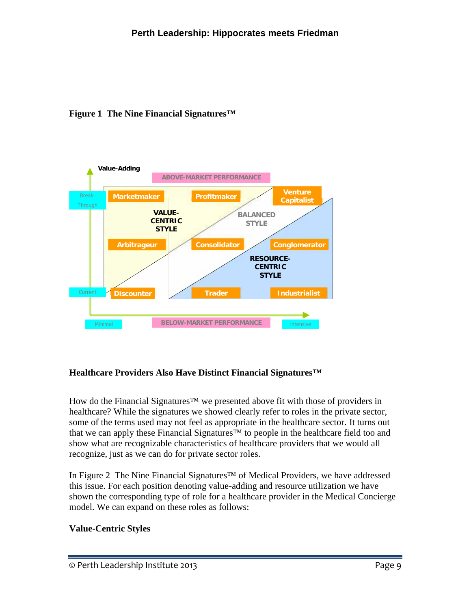



# **Healthcare Providers Also Have Distinct Financial Signatures™**

How do the Financial Signatures<sup>™</sup> we presented above fit with those of providers in healthcare? While the signatures we showed clearly refer to roles in the private sector, some of the terms used may not feel as appropriate in the healthcare sector. It turns out that we can apply these Financial Signatures™ to people in the healthcare field too and show what are recognizable characteristics of healthcare providers that we would all recognize, just as we can do for private sector roles.

In Figure 2 The Nine Financial Signatures™ of Medical Providers, we have addressed this issue. For each position denoting value-adding and resource utilization we have shown the corresponding type of role for a healthcare provider in the Medical Concierge model. We can expand on these roles as follows:

# **Value-Centric Styles**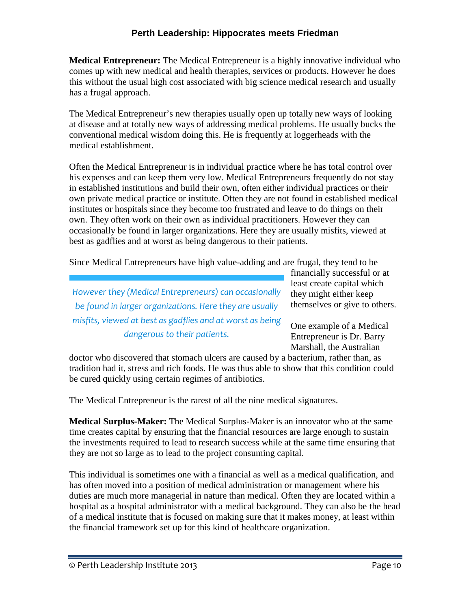**Medical Entrepreneur:** The Medical Entrepreneur is a highly innovative individual who comes up with new medical and health therapies, services or products. However he does this without the usual high cost associated with big science medical research and usually has a frugal approach.

The Medical Entrepreneur's new therapies usually open up totally new ways of looking at disease and at totally new ways of addressing medical problems. He usually bucks the conventional medical wisdom doing this. He is frequently at loggerheads with the medical establishment.

Often the Medical Entrepreneur is in individual practice where he has total control over his expenses and can keep them very low. Medical Entrepreneurs frequently do not stay in established institutions and build their own, often either individual practices or their own private medical practice or institute. Often they are not found in established medical institutes or hospitals since they become too frustrated and leave to do things on their own. They often work on their own as individual practitioners. However they can occasionally be found in larger organizations. Here they are usually misfits, viewed at best as gadflies and at worst as being dangerous to their patients.

Since Medical Entrepreneurs have high value-adding and are frugal, they tend to be

*However they (Medical Entrepreneurs) can occasionally be found in larger organizations. Here they are usually misfits, viewed at best as gadflies and at worst as being dangerous to their patients.*

financially successful or at least create capital which they might either keep themselves or give to others.

One example of a Medical Entrepreneur is Dr. Barry Marshall, the Australian

doctor who discovered that stomach ulcers are caused by a bacterium, rather than, as tradition had it, stress and rich foods. He was thus able to show that this condition could be cured quickly using certain regimes of antibiotics.

The Medical Entrepreneur is the rarest of all the nine medical signatures.

**Medical Surplus-Maker:** The Medical Surplus-Maker is an innovator who at the same time creates capital by ensuring that the financial resources are large enough to sustain the investments required to lead to research success while at the same time ensuring that they are not so large as to lead to the project consuming capital.

This individual is sometimes one with a financial as well as a medical qualification, and has often moved into a position of medical administration or management where his duties are much more managerial in nature than medical. Often they are located within a hospital as a hospital administrator with a medical background. They can also be the head of a medical institute that is focused on making sure that it makes money, at least within the financial framework set up for this kind of healthcare organization.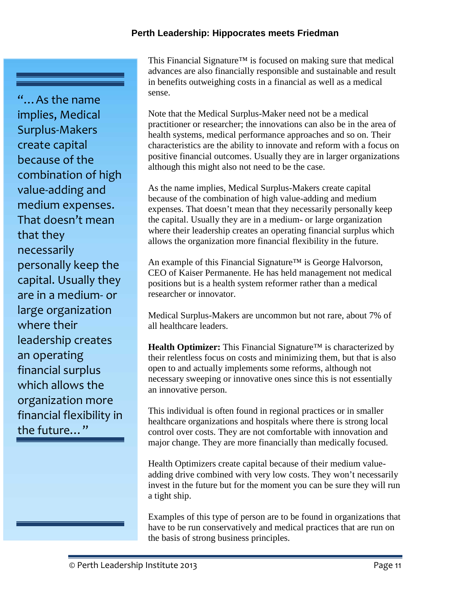"…As the name implies, Medical Surplus-Makers create capital because of the combination of high value-adding and medium expenses. That doesn't mean that they necessarily personally keep the capital. Usually they are in a medium- or large organization where their leadership creates an operating financial surplus which allows the organization more financial flexibility in the future…"

This Financial Signature™ is focused on making sure that medical advances are also financially responsible and sustainable and result in benefits outweighing costs in a financial as well as a medical sense.

Note that the Medical Surplus-Maker need not be a medical practitioner or researcher; the innovations can also be in the area of health systems, medical performance approaches and so on. Their characteristics are the ability to innovate and reform with a focus on positive financial outcomes. Usually they are in larger organizations although this might also not need to be the case.

As the name implies, Medical Surplus-Makers create capital because of the combination of high value-adding and medium expenses. That doesn't mean that they necessarily personally keep the capital. Usually they are in a medium- or large organization where their leadership creates an operating financial surplus which allows the organization more financial flexibility in the future.

An example of this Financial Signature<sup>™</sup> is George Halvorson, CEO of Kaiser Permanente. He has held management not medical positions but is a health system reformer rather than a medical researcher or innovator.

Medical Surplus-Makers are uncommon but not rare, about 7% of all healthcare leaders.

**Health Optimizer:** This Financial Signature™ is characterized by their relentless focus on costs and minimizing them, but that is also open to and actually implements some reforms, although not necessary sweeping or innovative ones since this is not essentially an innovative person.

This individual is often found in regional practices or in smaller healthcare organizations and hospitals where there is strong local control over costs. They are not comfortable with innovation and major change. They are more financially than medically focused.

Health Optimizers create capital because of their medium value adding drive combined with very low costs. They won't necessarily invest in the future but for the moment you can be sure they will run a tight ship.

Examples of this type of person are to be found in organizations that have to be run conservatively and medical practices that are run on the basis of strong business principles.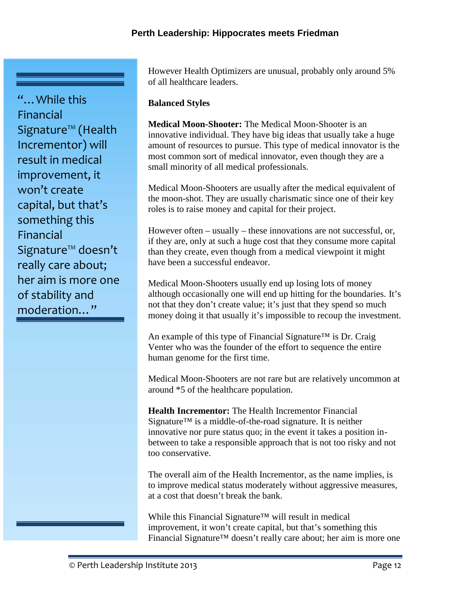"... While this Financial Signature™ (Health Incrementor) will result in medical improvement, it won't create capital, but that's something this Financial Signature™ doesn't really care about; her aim is more one of stability and moderation…"

However Health Optimizers are unusual, probably only around 5% of all healthcare leaders.

## **Balanced Styles**

**Medical Moon-Shooter:** The Medical Moon-Shooter is an innovative individual. They have big ideas that usually take a huge amount of resources to pursue. This type of medical innovator is the most common sort of medical innovator, even though they are a small minority of all medical professionals.

Medical Moon-Shooters are usually after the medical equivalent of the moon-shot. They are usually charismatic since one of their key roles is to raise money and capital for their project.

However often – usually – these innovations are not successful, or, if they are, only at such a huge cost that they consume more capital than they create, even though from a medical viewpoint it might have been a successful endeavor.

Medical Moon-Shooters usually end up losing lots of money although occasionally one will end up hitting for the boundaries. It's not that they don't create value; it's just that they spend so much money doing it that usually it's impossible to recoup the investment.

An example of this type of Financial Signature™ is Dr. Craig Venter who was the founder of the effort to sequence the entire human genome for the first time.

Medical Moon-Shooters are not rare but are relatively uncommon at around \*5 of the healthcare population.

**Health Incrementor:** The Health Incrementor Financial Signature<sup>™</sup> is a middle-of-the-road signature. It is neither innovative nor pure status quo; in the event it takes a position in between to take a responsible approach that is not too risky and not too conservative.

The overall aim of the Health Incrementor, as the name implies, is to improve medical status moderately without aggressive measures, at a cost that doesn't break the bank.

While this Financial Signature™ will result in medical improvement, it won't create capital, but that's something this Financial Signature™ doesn't really care about; her aim is more one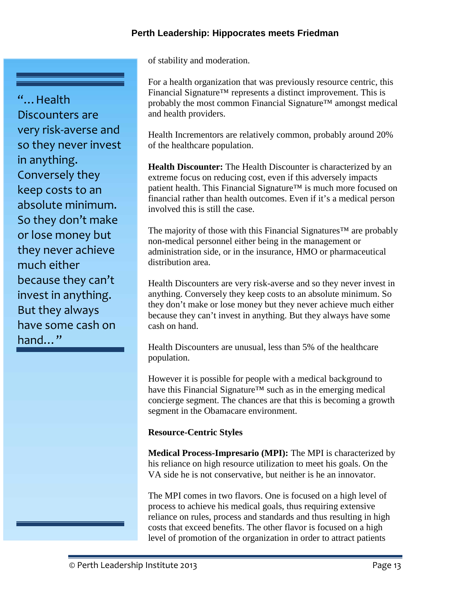of stability and moderation.

For a health organization that was previously resource centric, this Financial Signature™ represents a distinct improvement. This is probably the most common Financial Signature™ amongst medical and health providers.

Health Incrementors are relatively common, probably around 20% of the healthcare population.

**Health Discounter:** The Health Discounter is characterized by an extreme focus on reducing cost, even if this adversely impacts patient health. This Financial Signature™ is much more focused on financial rather than health outcomes. Even if it's a medical person involved this is still the case.

The majority of those with this Financial Signatures<sup>™</sup> are probably non-medical personnel either being in the management or administration side, or in the insurance, HMO or pharmaceutical distribution area.

Health Discounters are very risk-averse and so they never invest in anything. Conversely they keep costs to an absolute minimum. So they don't make or lose money but they never achieve much either because they can't invest in anything. But they always have some cash on hand.

Health Discounters are unusual, less than 5% of the healthcare population.

However it is possible for people with a medical background to have this Financial Signature<sup>™</sup> such as in the emerging medical concierge segment. The chances are that this is becoming a growth segment in the Obamacare environment.

# **Resource-Centric Styles**

**Medical Process-Impresario (MPI):** The MPI is characterized by his reliance on high resource utilization to meet his goals. On the VA side he is not conservative, but neither is he an innovator.

The MPI comes in two flavors. One is focused on a high level of process to achieve his medical goals, thus requiring extensive reliance on rules, process and standards and thus resulting in high costs that exceed benefits. The other flavor is focused on a high level of promotion of the organization in order to attract patients

very risk-averse and so they never invest in anything. Conversely they keep costs to an absolute minimum. So they don't make or lose money but they never achieve much either because they can't invest in anything. But they always have some cash on hand…"

"…Health

Discounters are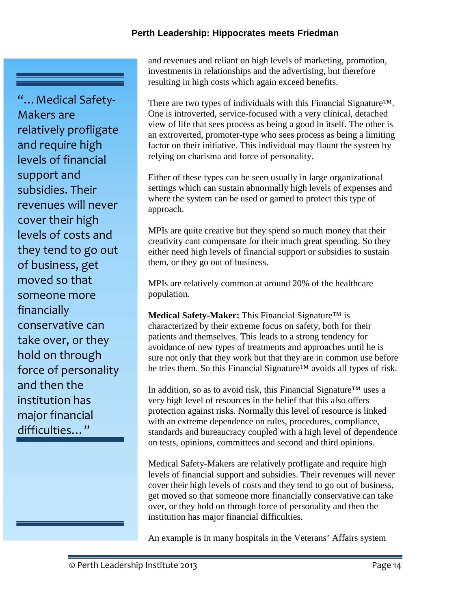"…Medical Safety- Makers are relatively profligate and require high levels of financial support and subsidies. Their revenues will never cover their high levels of costs and they tend to go out of business, get moved so that someone more financially conservative can take over, or they hold on through force of personality and then the institution has major financial difficulties…"

and revenues and reliant on high levels of marketing, promotion, investments in relationships and the advertising, but therefore resulting in high costs which again exceed benefits.

There are two types of individuals with this Financial Signature™. One is introverted, service-focused with a very clinical, detached view of life that sees process as being a good in itself. The other is an extroverted, promoter-type who sees process as being a limiting factor on their initiative. This individual may flaunt the system by relying on charisma and force of personality.

Either of these types can be seen usually in large organizational settings which can sustain abnormally high levels of expenses and where the system can be used or gamed to protect this type of approach.

MPIs are quite creative but they spend so much money that their creativity cant compensate for their much great spending. So they either need high levels of financial support or subsidies to sustain them, or they go out of business.

MPIs are relatively common at around 20% of the healthcare population.

**Medical Safety-Maker:** This Financial Signature™ is characterized by their extreme focus on safety, both for their patients and themselves. This leads to a strong tendency for avoidance of new types of treatments and approaches until he is sure not only that they work but that they are in common use before he tries them. So this Financial Signature<sup>™</sup> avoids all types of risk.

In addition, so as to avoid risk, this Financial Signature™ uses a very high level of resources in the belief that this also offers protection against risks. Normally this level of resource is linked with an extreme dependence on rules, procedures, compliance, standards and bureaucracy coupled with a high level of dependence on tests, opinions, committees and second and third opinions.

Medical Safety-Makers are relatively profligate and require high levels of financial support and subsidies. Their revenues will never cover their high levels of costs and they tend to go out of business, get moved so that someone more financially conservative can take over, or they hold on through force of personality and then the institution has major financial difficulties.

An example is in many hospitals in the Veterans' Affairs system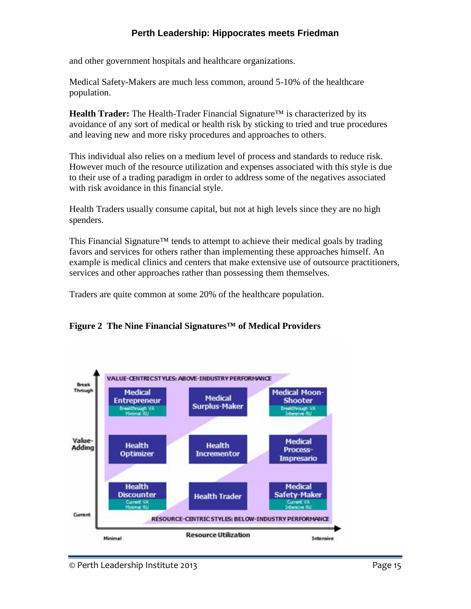and other government hospitals and healthcare organizations.

Medical Safety-Makers are much less common, around 5-10% of the healthcare population.

**Health Trader:** The Health-Trader Financial Signature™ is characterized by its avoidance of any sort of medical or health risk by sticking to tried and true procedures and leaving new and more risky procedures and approaches to others.

This individual also relies on a medium level of process and standards to reduce risk. However much of the resource utilization and expenses associated with this style is due to their use of a trading paradigm in order to address some of the negatives associated with risk avoidance in this financial style.

Health Traders usually consume capital, but not at high levels since they are no high spenders.

This Financial Signature<sup>™</sup> tends to attempt to achieve their medical goals by trading favors and services for others rather than implementing these approaches himself. An example is medical clinics and centers that make extensive use of outsource practitioners, services and other approaches rather than possessing them themselves.

Traders are quite common at some 20% of the healthcare population.



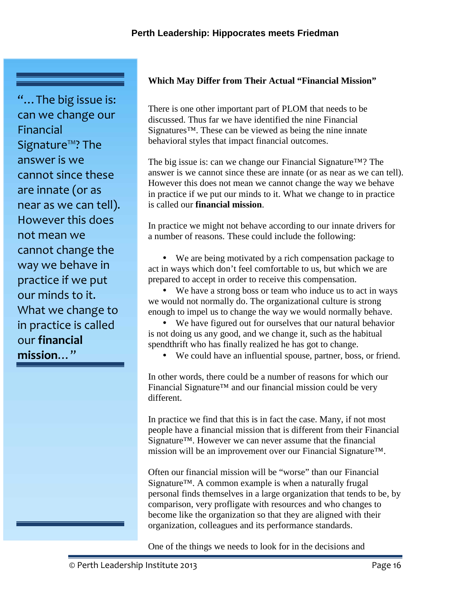"…The big issue is: can we change our Financial Signature™? The answer is we cannot since these are innate (or as near as we can tell). However this does not mean we cannot change the way we behave in practice if we put our minds to it. What we change to in practice is called our **financial mission**…"

## **Which May Differ from Their Actual "Financial Mission"**

There is one other important part of PLOM that needs to be discussed. Thus far we have identified the nine Financial Signatures™. These can be viewed as being the nine innate behavioral styles that impact financial outcomes.

The big issue is: can we change our Financial Signature™? The answer is we cannot since these are innate (or as near as we can tell). However this does not mean we cannot change the way we behave in practice if we put our minds to it. What we change to in practice is called our **financial mission**.

In practice we might not behave according to our innate drivers for a number of reasons. These could include the following:

 We are being motivated by a rich compensation package to act in ways which don't feel comfortable to us, but which we are prepared to accept in order to receive this compensation.

 We have a strong boss or team who induce us to act in ways we would not normally do. The organizational culture is strong enough to impel us to change the way we would normally behave.

 We have figured out for ourselves that our natural behavior is not doing us any good, and we change it, such as the habitual spendthrift who has finally realized he has got to change.

We could have an influential spouse, partner, boss, or friend.

In other words, there could be a number of reasons for which our Financial Signature™ and our financial mission could be very different.

In practice we find that this is in fact the case. Many, if not most people have a financial mission that is different from their Financial Signature™. However we can never assume that the financial mission will be an improvement over our Financial Signature™.

Often our financial mission will be "worse" than our Financial Signature™. A common example is when a naturally frugal personal finds themselves in a large organization that tends to be, by comparison, very profligate with resources and who changes to become like the organization so that they are aligned with their organization, colleagues and its performance standards.

One of the things we needs to look for in the decisions and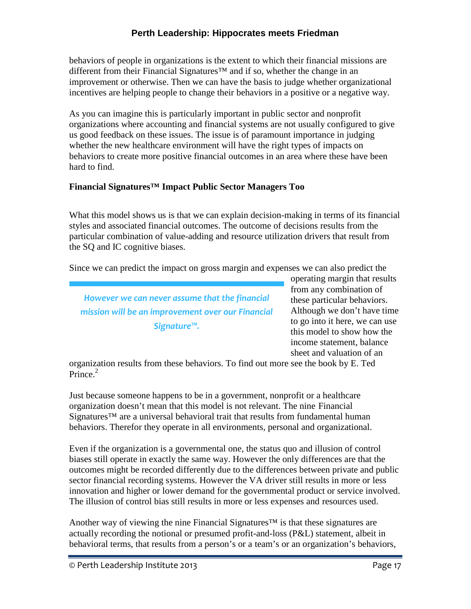behaviors of people in organizations is the extent to which their financial missions are different from their Financial Signatures<sup>™</sup> and if so, whether the change in an improvement or otherwise. Then we can have the basis to judge whether organizational incentives are helping people to change their behaviors in a positive or a negative way.

As you can imagine this is particularly important in public sector and nonprofit organizations where accounting and financial systems are not usually configured to give us good feedback on these issues. The issue is of paramount importance in judging whether the new healthcare environment will have the right types of impacts on behaviors to create more positive financial outcomes in an area where these have been hard to find.

## **Financial Signatures™ Impact Public Sector Managers Too**

What this model shows us is that we can explain decision-making in terms of its financial styles and associated financial outcomes. The outcome of decisions results from the particular combination of value-adding and resource utilization drivers that result from the SQ and IC cognitive biases.

Since we can predict the impact on gross margin and expenses we can also predict the

*However we can never assume that the financial mission will be an improvement over our Financial Signature™.*

operating margin that results from any combination of these particular behaviors. Although we don't have time to go into it here, we can use this model to show how the income statement, balance sheet and valuation of an

organization results from these behaviors. To find out more see the book by E. Ted Prince<sup>2</sup>

Just because someone happens to be in a government, nonprofit or a healthcare organization doesn't mean that this model is not relevant. The nine Financial Signatures<sup>™</sup> are a universal behavioral trait that results from fundamental human behaviors. Therefor they operate in all environments, personal and organizational.

Even if the organization is a governmental one, the status quo and illusion of control biases still operate in exactly the same way. However the only differences are that the outcomes might be recorded differently due to the differences between private and public sector financial recording systems. However the VA driver still results in more or less innovation and higher or lower demand for the governmental product or service involved. The illusion of control bias still results in more or less expenses and resources used.

Another way of viewing the nine Financial Signatures<sup>™</sup> is that these signatures are actually recording the notional or presumed profit-and-loss (P&L) statement, albeit in behavioral terms, that results from a person's or a team's or an organization's behaviors,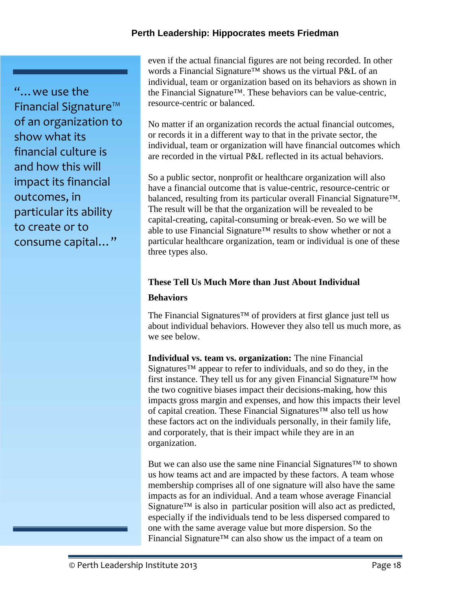"…we use the Financial Signature™ of an organization to show what its financial culture is and how this will impact its financial outcomes, in particular its ability to create or to consume capital…"

even if the actual financial figures are not being recorded. In other words a Financial Signature™ shows us the virtual P&L of an individual, team or organization based on its behaviors as shown in the Financial Signature™. These behaviors can be value-centric, resource-centric or balanced.

No matter if an organization records the actual financial outcomes, or records it in a different way to that in the private sector, the individual, team or organization will have financial outcomes which are recorded in the virtual P&L reflected in its actual behaviors.

So a public sector, nonprofit or healthcare organization will also have a financial outcome that is value-centric, resource-centric or balanced, resulting from its particular overall Financial Signature™. The result will be that the organization will be revealed to be capital-creating, capital-consuming or break-even. So we will be able to use Financial Signature™ results to show whether or not a particular healthcare organization, team or individual is one of these three types also.

# **These Tell Us Much More than Just About Individual**

#### **Behaviors**

The Financial Signatures™ of providers at first glance just tell us about individual behaviors. However they also tell us much more, as we see below.

**Individual vs. team vs. organization:** The nine Financial Signatures™ appear to refer to individuals, and so do they, in the first instance. They tell us for any given Financial Signature<sup>TM</sup> how the two cognitive biases impact their decisions-making, how this impacts gross margin and expenses, and how this impacts their level of capital creation. These Financial Signatures™ also tell us how these factors act on the individuals personally, in their family life, and corporately, that is their impact while they are in an organization.

But we can also use the same nine Financial Signatures™ to shown us how teams act and are impacted by these factors. A team whose membership comprises all of one signature will also have the same impacts as for an individual. And a team whose average Financial Signature<sup>™</sup> is also in particular position will also act as predicted, especially if the individuals tend to be less dispersed compared to one with the same average value but more dispersion. So the Financial Signature™ can also show us the impact of a team on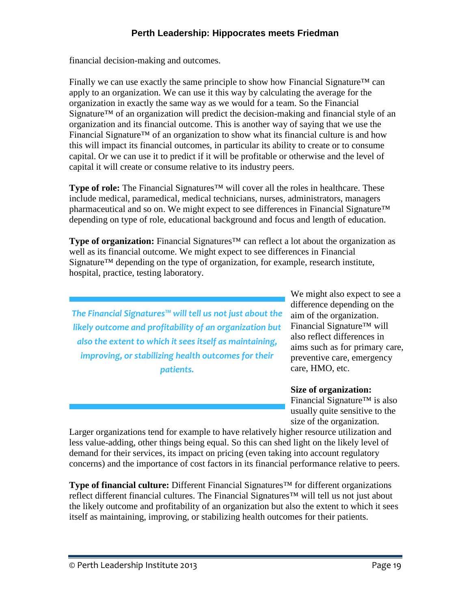financial decision-making and outcomes.

Finally we can use exactly the same principle to show how Financial Signature<sup>TM</sup> can apply to an organization. We can use it this way by calculating the average for the organization in exactly the same way as we would for a team. So the Financial Signature™ of an organization will predict the decision-making and financial style of an organization and its financial outcome. This is another way of saying that we use the Financial Signature™ of an organization to show what its financial culture is and how this will impact its financial outcomes, in particular its ability to create or to consume capital. Or we can use it to predict if it will be profitable or otherwise and the level of capital it will create or consume relative to its industry peers.

**Type of role:** The Financial Signatures™ will cover all the roles in healthcare. These include medical, paramedical, medical technicians, nurses, administrators, managers pharmaceutical and so on. We might expect to see differences in Financial Signature<sup>™</sup> depending on type of role, educational background and focus and length of education.

**Type of organization:** Financial Signatures™ can reflect a lot about the organization as well as its financial outcome. We might expect to see differences in Financial Signature™ depending on the type of organization, for example, research institute, hospital, practice, testing laboratory.

*The Financial Signatures™ will tell us not just about the likely outcome and profitability of an organization but also the extent to which it sees itself as maintaining, improving, or stabilizing health outcomes for their patients.*

We might also expect to see a difference depending on the aim of the organization. Financial Signature™ will also reflect differences in aims such as for primary care, preventive care, emergency care, HMO, etc.

#### **Size of organization:**

Financial Signature™ is also usually quite sensitive to the size of the organization.

Larger organizations tend for example to have relatively higher resource utilization and less value-adding, other things being equal. So this can shed light on the likely level of demand for their services, its impact on pricing (even taking into account regulatory concerns) and the importance of cost factors in its financial performance relative to peers.

**Type of financial culture:** Different Financial Signatures™ for different organizations reflect different financial cultures. The Financial Signatures™ will tell us not just about the likely outcome and profitability of an organization but also the extent to which it sees itself as maintaining, improving, or stabilizing health outcomes for their patients.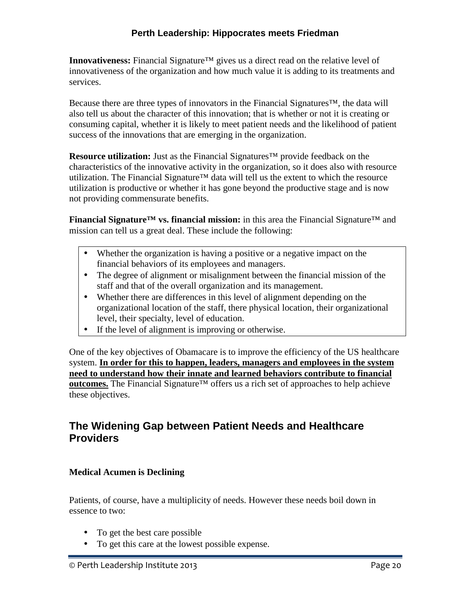**Innovativeness:** Financial Signature™ gives us a direct read on the relative level of innovativeness of the organization and how much value it is adding to its treatments and services.

Because there are three types of innovators in the Financial Signatures™, the data will also tell us about the character of this innovation; that is whether or not it is creating or consuming capital, whether it is likely to meet patient needs and the likelihood of patient success of the innovations that are emerging in the organization.

**Resource utilization:** Just as the Financial Signatures™ provide feedback on the characteristics of the innovative activity in the organization, so it does also with resource utilization. The Financial Signature™ data will tell us the extent to which the resource utilization is productive or whether it has gone beyond the productive stage and is now not providing commensurate benefits.

**Financial Signature™ vs. financial mission:** in this area the Financial Signature™ and mission can tell us a great deal. These include the following:

- Whether the organization is having a positive or a negative impact on the financial behaviors of its employees and managers.
- The degree of alignment or misalignment between the financial mission of the staff and that of the overall organization and its management.
- Whether there are differences in this level of alignment depending on the organizational location of the staff, there physical location, their organizational level, their specialty, level of education.
- If the level of alignment is improving or otherwise.

One of the key objectives of Obamacare is to improve the efficiency of the US healthcare system. **In order for this to happen, leaders, managers and employees in the system need to understand how their innate and learned behaviors contribute to financial <u>outcomes.</u>** The Financial Signature<sup>™</sup> offers us a rich set of approaches to help achieve these objectives.

# **The Widening Gap between Patient Needs and Healthcare Providers**

# **Medical Acumen is Declining**

Patients, of course, have a multiplicity of needs. However these needs boil down in essence to two:

- To get the best care possible
- To get this care at the lowest possible expense.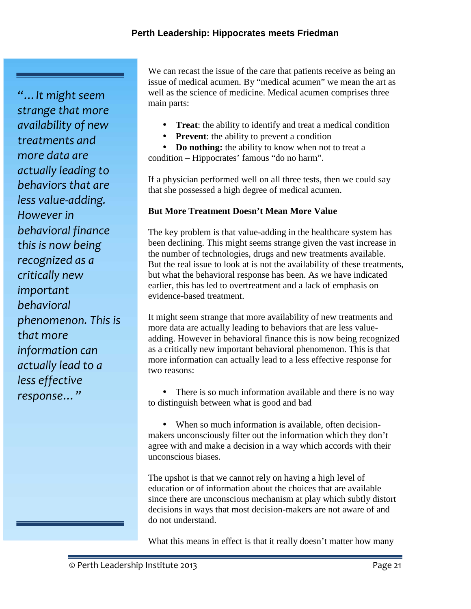*"…It might seem strange that more availability of new treatments and more data are actually leading to behaviors that are less value-adding. However in behavioral finance this is now being recognized as a critically new important behavioral phenomenon. This is that more information can actually lead to a less effective response…"*

We can recast the issue of the care that patients receive as being an issue of medical acumen. By "medical acumen" we mean the art as well as the science of medicine. Medical acumen comprises three main parts:

- **Treat**: the ability to identify and treat a medical condition
- **Prevent:** the ability to prevent a condition

• **Do nothing:** the ability to know when not to treat a condition – Hippocrates' famous "do no harm".

If a physician performed well on all three tests, then we could say that she possessed a high degree of medical acumen.

## **But More Treatment Doesn't Mean More Value**

The key problem is that value-adding in the healthcare system has been declining. This might seems strange given the vast increase in the number of technologies, drugs and new treatments available. But the real issue to look at is not the availability of these treatments, but what the behavioral response has been. As we have indicated earlier, this has led to overtreatment and a lack of emphasis on evidence-based treatment.

It might seem strange that more availability of new treatments and more data are actually leading to behaviors that are less value adding. However in behavioral finance this is now being recognized as a critically new important behavioral phenomenon. This is that more information can actually lead to a less effective response for two reasons:

• There is so much information available and there is no way to distinguish between what is good and bad

• When so much information is available, often decisionmakers unconsciously filter out the information which they don't agree with and make a decision in a way which accords with their unconscious biases.

The upshot is that we cannot rely on having a high level of education or of information about the choices that are available since there are unconscious mechanism at play which subtly distort decisions in ways that most decision-makers are not aware of and do not understand.

What this means in effect is that it really doesn't matter how many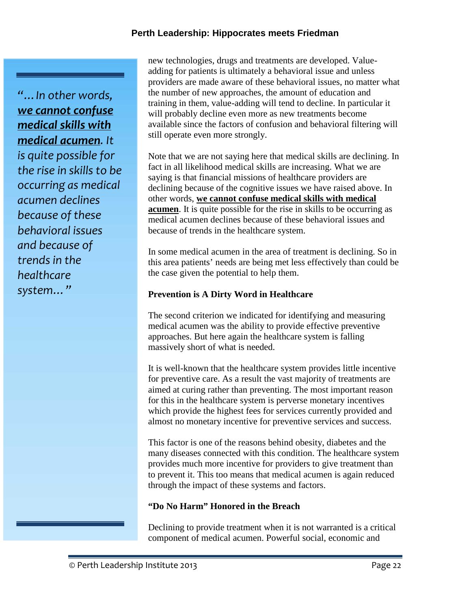*"…In other words, we cannot confuse medical skills with medical acumen. It is quite possible for the rise in skills to be occurring as medical acumen declines because of these behavioral issues and because of trends in the healthcare system…"*

new technologies, drugs and treatments are developed. Value adding for patients is ultimately a behavioral issue and unless providers are made aware of these behavioral issues, no matter what the number of new approaches, the amount of education and training in them, value-adding will tend to decline. In particular it will probably decline even more as new treatments become available since the factors of confusion and behavioral filtering will still operate even more strongly.

Note that we are not saying here that medical skills are declining. In fact in all likelihood medical skills are increasing. What we are saying is that financial missions of healthcare providers are declining because of the cognitive issues we have raised above. In other words, **we cannot confuse medical skills with medical acumen**. It is quite possible for the rise in skills to be occurring as medical acumen declines because of these behavioral issues and because of trends in the healthcare system.

In some medical acumen in the area of treatment is declining. So in this area patients' needs are being met less effectively than could be the case given the potential to help them.

## **Prevention is A Dirty Word in Healthcare**

The second criterion we indicated for identifying and measuring medical acumen was the ability to provide effective preventive approaches. But here again the healthcare system is falling massively short of what is needed.

It is well-known that the healthcare system provides little incentive for preventive care. As a result the vast majority of treatments are aimed at curing rather than preventing. The most important reason for this in the healthcare system is perverse monetary incentives which provide the highest fees for services currently provided and almost no monetary incentive for preventive services and success.

This factor is one of the reasons behind obesity, diabetes and the many diseases connected with this condition. The healthcare system provides much more incentive for providers to give treatment than to prevent it. This too means that medical acumen is again reduced through the impact of these systems and factors.

#### **"Do No Harm" Honored in the Breach**

Declining to provide treatment when it is not warranted is a critical component of medical acumen. Powerful social, economic and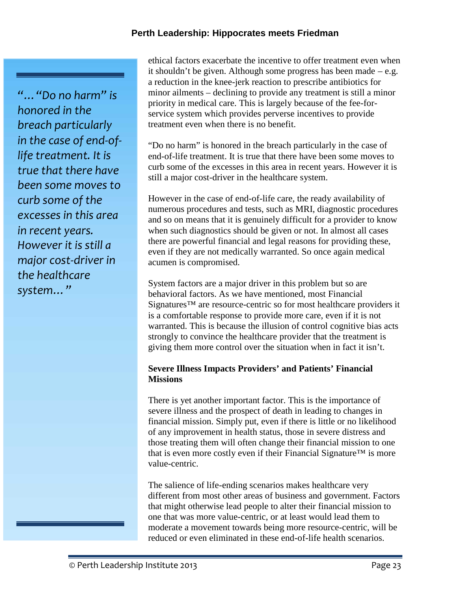*"…"Do no harm" is honored in the breach particularly in the case of end-oflife treatment. It is true that there have been some moves to curb some of the excesses in this area in recent years. However it is still a major cost-driver in the healthcare system…"*

ethical factors exacerbate the incentive to offer treatment even when it shouldn't be given. Although some progress has been made – e.g. a reduction in the knee-jerk reaction to prescribe antibiotics for minor ailments – declining to provide any treatment is still a minor priority in medical care. This is largely because of the fee-for service system which provides perverse incentives to provide treatment even when there is no benefit.

"Do no harm" is honored in the breach particularly in the case of end-of-life treatment. It is true that there have been some moves to curb some of the excesses in this area in recent years. However it is still a major cost-driver in the healthcare system.

However in the case of end-of-life care, the ready availability of numerous procedures and tests, such as MRI, diagnostic procedures and so on means that it is genuinely difficult for a provider to know when such diagnostics should be given or not. In almost all cases there are powerful financial and legal reasons for providing these, even if they are not medically warranted. So once again medical acumen is compromised.

System factors are a major driver in this problem but so are behavioral factors. As we have mentioned, most Financial Signatures™ are resource-centric so for most healthcare providers it is a comfortable response to provide more care, even if it is not warranted. This is because the illusion of control cognitive bias acts strongly to convince the healthcare provider that the treatment is giving them more control over the situation when in fact it isn't.

## **Severe Illness Impacts Providers' and Patients' Financial Missions**

There is yet another important factor. This is the importance of severe illness and the prospect of death in leading to changes in financial mission. Simply put, even if there is little or no likelihood of any improvement in health status, those in severe distress and those treating them will often change their financial mission to one that is even more costly even if their Financial Signature™ is more value-centric.

The salience of life-ending scenarios makes healthcare very different from most other areas of business and government. Factors that might otherwise lead people to alter their financial mission to one that was more value-centric, or at least would lead them to moderate a movement towards being more resource-centric, will be reduced or even eliminated in these end-of-life health scenarios.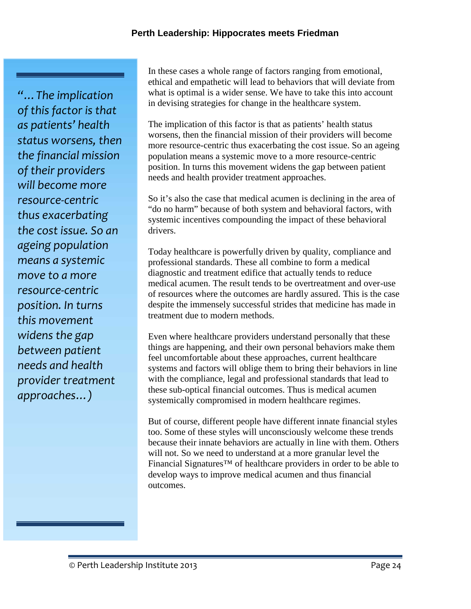*"…The implication of this factor is that as patients' health status worsens, then the financial mission of their providers will become more resource-centric thus exacerbating the cost issue. So an ageing population means a systemic move to a more resource-centric position. In turns this movement widens the gap between patient needs and health provider treatment approaches…)*

In these cases a whole range of factors ranging from emotional, ethical and empathetic will lead to behaviors that will deviate from what is optimal is a wider sense. We have to take this into account in devising strategies for change in the healthcare system.

The implication of this factor is that as patients' health status worsens, then the financial mission of their providers will become more resource-centric thus exacerbating the cost issue. So an ageing population means a systemic move to a more resource-centric position. In turns this movement widens the gap between patient needs and health provider treatment approaches.

So it's also the case that medical acumen is declining in the area of "do no harm" because of both system and behavioral factors, with systemic incentives compounding the impact of these behavioral drivers.

Today healthcare is powerfully driven by quality, compliance and professional standards. These all combine to form a medical diagnostic and treatment edifice that actually tends to reduce medical acumen. The result tends to be overtreatment and over-use of resources where the outcomes are hardly assured. This is the case despite the immensely successful strides that medicine has made in treatment due to modern methods.

Even where healthcare providers understand personally that these things are happening, and their own personal behaviors make them feel uncomfortable about these approaches, current healthcare systems and factors will oblige them to bring their behaviors in line with the compliance, legal and professional standards that lead to these sub-optical financial outcomes. Thus is medical acumen systemically compromised in modern healthcare regimes.

But of course, different people have different innate financial styles too. Some of these styles will unconsciously welcome these trends because their innate behaviors are actually in line with them. Others will not. So we need to understand at a more granular level the Financial Signatures™ of healthcare providers in order to be able to develop ways to improve medical acumen and thus financial outcomes.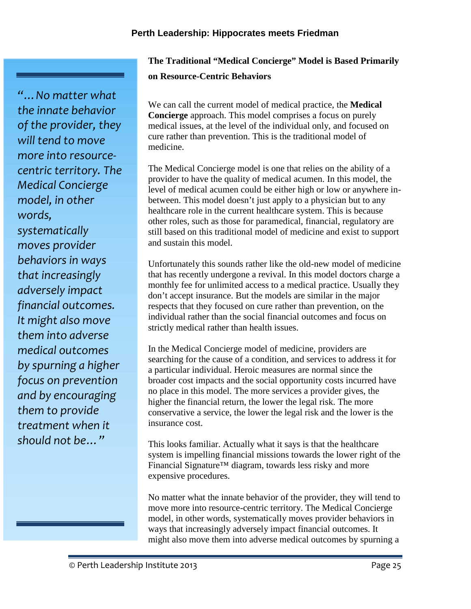*"…No matter what the innate behavior of the provider, they will tend to move more into resource centric territory. The Medical Concierge model, in other words, systematically moves provider behaviors in ways that increasingly adversely impact financial outcomes. It might also move them into adverse medical outcomes by spurning a higher focus on prevention and by encouraging them to provide treatment when it should not be…"*

# **The Traditional "Medical Concierge" Model is Based Primarily on Resource-Centric Behaviors**

We can call the current model of medical practice, the **Medical Concierge** approach. This model comprises a focus on purely medical issues, at the level of the individual only, and focused on cure rather than prevention. This is the traditional model of medicine.

The Medical Concierge model is one that relies on the ability of a provider to have the quality of medical acumen. In this model, the level of medical acumen could be either high or low or anywhere in between. This model doesn't just apply to a physician but to any healthcare role in the current healthcare system. This is because other roles, such as those for paramedical, financial, regulatory are still based on this traditional model of medicine and exist to support and sustain this model.

Unfortunately this sounds rather like the old-new model of medicine that has recently undergone a revival. In this model doctors charge a monthly fee for unlimited access to a medical practice. Usually they don't accept insurance. But the models are similar in the major respects that they focused on cure rather than prevention, on the individual rather than the social financial outcomes and focus on strictly medical rather than health issues.

In the Medical Concierge model of medicine, providers are searching for the cause of a condition, and services to address it for a particular individual. Heroic measures are normal since the broader cost impacts and the social opportunity costs incurred have no place in this model. The more services a provider gives, the higher the financial return, the lower the legal risk. The more conservative a service, the lower the legal risk and the lower is the insurance cost.

This looks familiar. Actually what it says is that the healthcare system is impelling financial missions towards the lower right of the Financial Signature™ diagram, towards less risky and more expensive procedures.

No matter what the innate behavior of the provider, they will tend to move more into resource-centric territory. The Medical Concierge model, in other words, systematically moves provider behaviors in ways that increasingly adversely impact financial outcomes. It might also move them into adverse medical outcomes by spurning a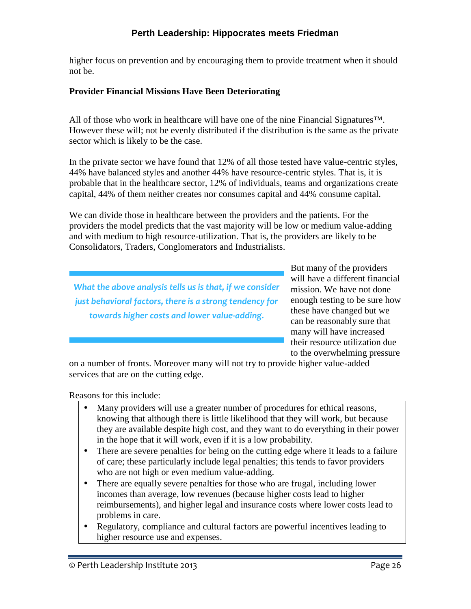higher focus on prevention and by encouraging them to provide treatment when it should not be.

## **Provider Financial Missions Have Been Deteriorating**

All of those who work in healthcare will have one of the nine Financial Signatures<sup>™.</sup> However these will; not be evenly distributed if the distribution is the same as the private sector which is likely to be the case.

In the private sector we have found that 12% of all those tested have value-centric styles, 44% have balanced styles and another 44% have resource-centric styles. That is, it is probable that in the healthcare sector, 12% of individuals, teams and organizations create capital, 44% of them neither creates nor consumes capital and 44% consume capital.

We can divide those in healthcare between the providers and the patients. For the providers the model predicts that the vast majority will be low or medium value-adding and with medium to high resource-utilization. That is, the providers are likely to be Consolidators, Traders, Conglomerators and Industrialists.

*What the above analysis tells us is that, if we consider just behavioral factors, there is a strong tendency for towards higher costs and lower value-adding.*

But many of the providers will have a different financial mission. We have not done enough testing to be sure how these have changed but we can be reasonably sure that many will have increased their resource utilization due to the overwhelming pressure

on a number of fronts. Moreover many will not try to provide higher value-added services that are on the cutting edge.

Reasons for this include:

- Many providers will use a greater number of procedures for ethical reasons, knowing that although there is little likelihood that they will work, but because they are available despite high cost, and they want to do everything in their power in the hope that it will work, even if it is a low probability.
- There are severe penalties for being on the cutting edge where it leads to a failure of care; these particularly include legal penalties; this tends to favor providers who are not high or even medium value-adding.
- There are equally severe penalties for those who are frugal, including lower incomes than average, low revenues (because higher costs lead to higher reimbursements), and higher legal and insurance costs where lower costs lead to problems in care.
- Regulatory, compliance and cultural factors are powerful incentives leading to higher resource use and expenses.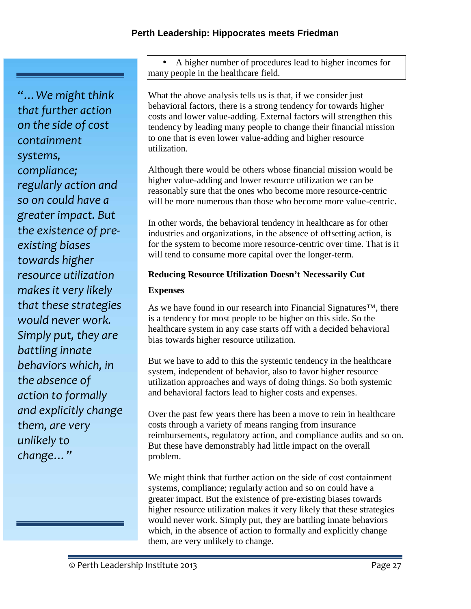*"…We might think that further action on the side of cost containment systems, compliance; regularly action and so on could have a greater impact. But the existence of pre existing biases towards higher resource utilization makes it very likely that these strategies would never work. Simply put, they are battling innate behaviors which, in the absence of action to formally and explicitly change them, are very unlikely to change…"*

 A higher number of procedures lead to higher incomes for many people in the healthcare field.

What the above analysis tells us is that, if we consider just behavioral factors, there is a strong tendency for towards higher costs and lower value-adding. External factors will strengthen this tendency by leading many people to change their financial mission to one that is even lower value-adding and higher resource utilization.

Although there would be others whose financial mission would be higher value-adding and lower resource utilization we can be reasonably sure that the ones who become more resource-centric will be more numerous than those who become more value-centric.

In other words, the behavioral tendency in healthcare as for other industries and organizations, in the absence of offsetting action, is for the system to become more resource-centric over time. That is it will tend to consume more capital over the longer-term.

# **Reducing Resource Utilization Doesn't Necessarily Cut**

# **Expenses**

As we have found in our research into Financial Signatures™, there is a tendency for most people to be higher on this side. So the healthcare system in any case starts off with a decided behavioral bias towards higher resource utilization.

But we have to add to this the systemic tendency in the healthcare system, independent of behavior, also to favor higher resource utilization approaches and ways of doing things. So both systemic and behavioral factors lead to higher costs and expenses.

Over the past few years there has been a move to rein in healthcare costs through a variety of means ranging from insurance reimbursements, regulatory action, and compliance audits and so on. But these have demonstrably had little impact on the overall problem.

We might think that further action on the side of cost containment systems, compliance; regularly action and so on could have a greater impact. But the existence of pre-existing biases towards higher resource utilization makes it very likely that these strategies would never work. Simply put, they are battling innate behaviors which, in the absence of action to formally and explicitly change them, are very unlikely to change.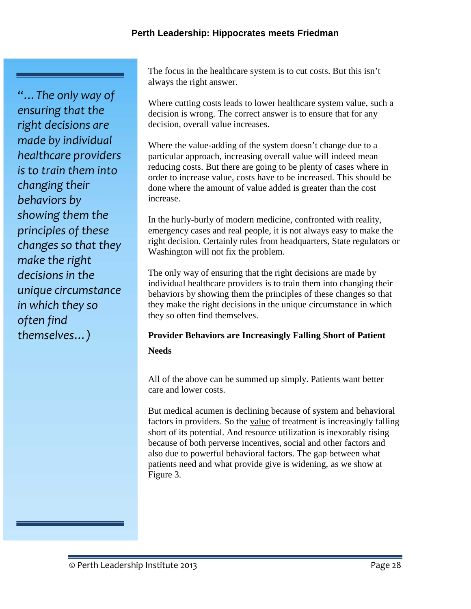*"…The only way of ensuring that the right decisions are made by individual healthcare providers is to train them into changing their behaviors by showing them the principles of these changes so that they make the right decisions in the unique circumstance in which they so often find themselves…)*

The focus in the healthcare system is to cut costs. But this isn't always the right answer.

Where cutting costs leads to lower healthcare system value, such a decision is wrong. The correct answer is to ensure that for any decision, overall value increases.

Where the value-adding of the system doesn't change due to a particular approach, increasing overall value will indeed mean reducing costs. But there are going to be plenty of cases where in order to increase value, costs have to be increased. This should be done where the amount of value added is greater than the cost increase.

In the hurly-burly of modern medicine, confronted with reality, emergency cases and real people, it is not always easy to make the right decision. Certainly rules from headquarters, State regulators or Washington will not fix the problem.

The only way of ensuring that the right decisions are made by individual healthcare providers is to train them into changing their behaviors by showing them the principles of these changes so that they make the right decisions in the unique circumstance in which they so often find themselves.

# **Provider Behaviors are Increasingly Falling Short of Patient Needs**

All of the above can be summed up simply. Patients want better care and lower costs.

But medical acumen is declining because of system and behavioral factors in providers. So the value of treatment is increasingly falling short of its potential. And resource utilization is inexorably rising because of both perverse incentives, social and other factors and also due to powerful behavioral factors. The gap between what patients need and what provide give is widening, as we show at Figure 3.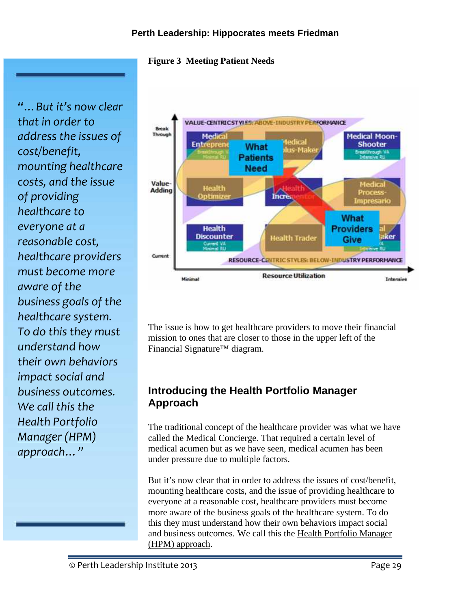#### **Figure 3 Meeting Patient Needs**

*"…But it's now clear that in order to address the issues of cost/benefit, mounting healthcare costs, and the issue of providing healthcare to everyone at a reasonable cost, healthcare providers must become more aware of the business goals of the healthcare system. To do this they must understand how their own behaviors impact social and business outcomes. We call this the Health Portfolio Manager (HPM) approach…"*



The issue is how to get healthcare providers to move their financial mission to ones that are closer to those in the upper left of the Financial Signature™ diagram.

# **Introducing the Health Portfolio Manager Approach**

The traditional concept of the healthcare provider was what we have called the Medical Concierge. That required a certain level of medical acumen but as we have seen, medical acumen has been under pressure due to multiple factors.

But it's now clear that in order to address the issues of cost/benefit, mounting healthcare costs, and the issue of providing healthcare to everyone at a reasonable cost, healthcare providers must become more aware of the business goals of the healthcare system. To do this they must understand how their own behaviors impact social and business outcomes. We call this the Health Portfolio Manager (HPM) approach.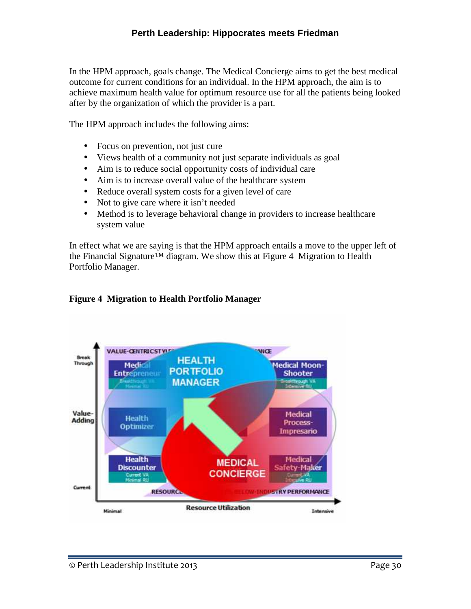In the HPM approach, goals change. The Medical Concierge aims to get the best medical outcome for current conditions for an individual. In the HPM approach, the aim is to achieve maximum health value for optimum resource use for all the patients being looked after by the organization of which the provider is a part.

The HPM approach includes the following aims:

- Focus on prevention, not just cure
- Views health of a community not just separate individuals as goal
- Aim is to reduce social opportunity costs of individual care
- Aim is to increase overall value of the healthcare system
- Reduce overall system costs for a given level of care
- Not to give care where it isn't needed
- Method is to leverage behavioral change in providers to increase healthcare system value

In effect what we are saying is that the HPM approach entails a move to the upper left of the Financial Signature<sup>™</sup> diagram. We show this at Figure 4 Migration to Health Portfolio Manager.

#### **Figure 4 Migration to Health Portfolio Manager**

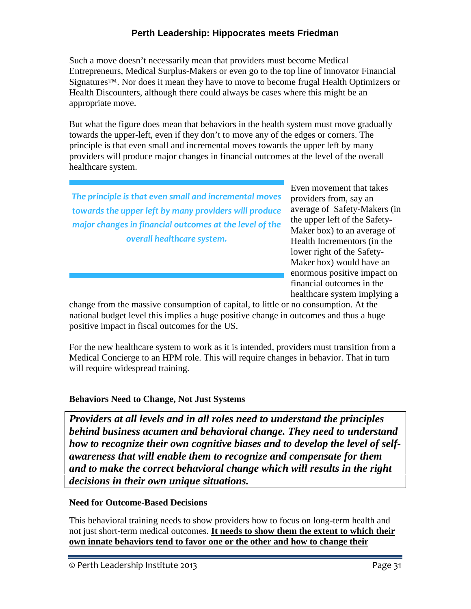Such a move doesn't necessarily mean that providers must become Medical Entrepreneurs, Medical Surplus-Makers or even go to the top line of innovator Financial Signatures™. Nor does it mean they have to move to become frugal Health Optimizers or Health Discounters, although there could always be cases where this might be an appropriate move.

But what the figure does mean that behaviors in the health system must move gradually towards the upper-left, even if they don't to move any of the edges or corners. The principle is that even small and incremental moves towards the upper left by many providers will produce major changes in financial outcomes at the level of the overall healthcare system.

*The principle is that even small and incremental moves towards the upper left by many providers will produce major changes in financial outcomes at the level of the overall healthcare system.*

Even movement that takes providers from, say an average of Safety-Makers (in the upper left of the Safety- Maker box) to an average of Health Incrementors (in the lower right of the Safety- Maker box) would have an enormous positive impact on financial outcomes in the healthcare system implying a

change from the massive consumption of capital, to little or no consumption. At the national budget level this implies a huge positive change in outcomes and thus a huge positive impact in fiscal outcomes for the US.

For the new healthcare system to work as it is intended, providers must transition from a Medical Concierge to an HPM role. This will require changes in behavior. That in turn will require widespread training.

#### **Behaviors Need to Change, Not Just Systems**

*Providers at all levels and in all roles need to understand the principles behind business acumen and behavioral change. They need to understand how to recognize their own cognitive biases and to develop the level of self awareness that will enable them to recognize and compensate for them and to make the correct behavioral change which will results in the right decisions in their own unique situations.*

#### **Need for Outcome-Based Decisions**

This behavioral training needs to show providers how to focus on long-term health and not just short-term medical outcomes. **It needs to show them the extent to which their own innate behaviors tend to favor one or the other and how to change their**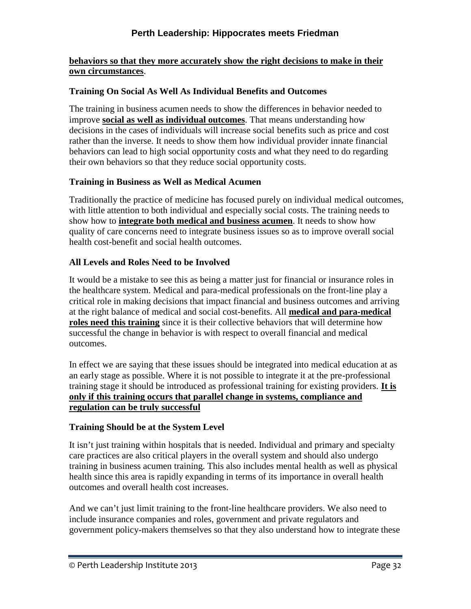#### **behaviors so that they more accurately show the right decisions to make in their own circumstances**.

## **Training On Social As Well As Individual Benefits and Outcomes**

The training in business acumen needs to show the differences in behavior needed to improve **social as well as individual outcomes**. That means understanding how decisions in the cases of individuals will increase social benefits such as price and cost rather than the inverse. It needs to show them how individual provider innate financial behaviors can lead to high social opportunity costs and what they need to do regarding their own behaviors so that they reduce social opportunity costs.

## **Training in Business as Well as Medical Acumen**

Traditionally the practice of medicine has focused purely on individual medical outcomes, with little attention to both individual and especially social costs. The training needs to show how to **integrate both medical and business acumen**. It needs to show how quality of care concerns need to integrate business issues so as to improve overall social health cost-benefit and social health outcomes.

## **All Levels and Roles Need to be Involved**

It would be a mistake to see this as being a matter just for financial or insurance roles in the healthcare system. Medical and para-medical professionals on the front-line play a critical role in making decisions that impact financial and business outcomes and arriving at the right balance of medical and social cost-benefits. All **medical and para-medical roles need this training** since it is their collective behaviors that will determine how successful the change in behavior is with respect to overall financial and medical outcomes.

In effect we are saying that these issues should be integrated into medical education at as an early stage as possible. Where it is not possible to integrate it at the pre-professional training stage it should be introduced as professional training for existing providers. **It is only if this training occurs that parallel change in systems, compliance and regulation can be truly successful**

# **Training Should be at the System Level**

It isn't just training within hospitals that is needed. Individual and primary and specialty care practices are also critical players in the overall system and should also undergo training in business acumen training. This also includes mental health as well as physical health since this area is rapidly expanding in terms of its importance in overall health outcomes and overall health cost increases.

And we can't just limit training to the front-line healthcare providers. We also need to include insurance companies and roles, government and private regulators and government policy-makers themselves so that they also understand how to integrate these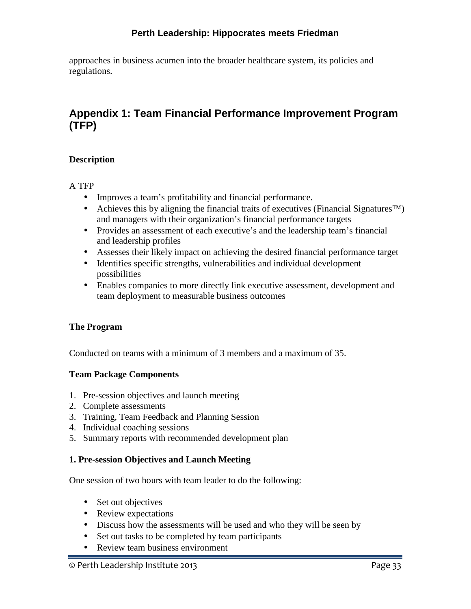approaches in business acumen into the broader healthcare system, its policies and regulations.

# **Appendix 1: Team Financial Performance Improvement Program (TFP)**

#### **Description**

A TFP

- Improves a team's profitability and financial performance.
- Achieves this by aligning the financial traits of executives (Financial Signatures<sup>™)</sup> and managers with their organization's financial performance targets
- Provides an assessment of each executive's and the leadership team's financial and leadership profiles
- Assesses their likely impact on achieving the desired financial performance target
- Identifies specific strengths, vulnerabilities and individual development possibilities
- Enables companies to more directly link executive assessment, development and team deployment to measurable business outcomes

#### **The Program**

Conducted on teams with a minimum of 3 members and a maximum of 35.

#### **Team Package Components**

- 1. Pre-session objectives and launch meeting
- 2. Complete assessments
- 3. Training, Team Feedback and Planning Session
- 4. Individual coaching sessions
- 5. Summary reports with recommended development plan

#### **1. Pre-session Objectives and Launch Meeting**

One session of two hours with team leader to do the following:

- Set out objectives
- Review expectations
- Discuss how the assessments will be used and who they will be seen by
- Set out tasks to be completed by team participants
- Review team business environment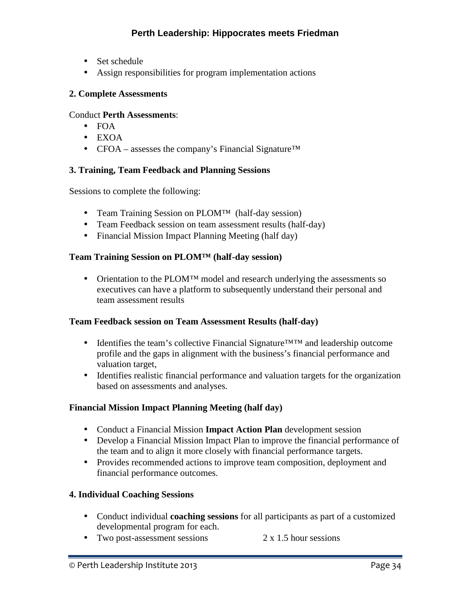- Set schedule
- Assign responsibilities for program implementation actions

#### **2. Complete Assessments**

#### Conduct **Perth Assessments**:

- $\bullet$  FOA
- EXOA
- CFOA assesses the company's Financial Signature<sup>TM</sup>

## **3. Training, Team Feedback and Planning Sessions**

Sessions to complete the following:

- Team Training Session on PLOM™ (half-day session)
- Team Feedback session on team assessment results (half-day)
- Financial Mission Impact Planning Meeting (half day)

#### **Team Training Session on PLOM™ (half-day session)**

• Orientation to the PLOM<sup>™</sup> model and research underlying the assessments so executives can have a platform to subsequently understand their personal and team assessment results

#### **Team Feedback session on Team Assessment Results (half-day)**

- Identifies the team's collective Financial Signature™™ and leadership outcome profile and the gaps in alignment with the business's financial performance and valuation target,
- Identifies realistic financial performance and valuation targets for the organization based on assessments and analyses.

#### **Financial Mission Impact Planning Meeting (half day)**

- Conduct a Financial Mission **Impact Action Plan** development session
- Develop a Financial Mission Impact Plan to improve the financial performance of the team and to align it more closely with financial performance targets.
- Provides recommended actions to improve team composition, deployment and financial performance outcomes.

#### **4. Individual Coaching Sessions**

- Conduct individual **coaching sessions** for all participants as part of a customized developmental program for each.
- Two post-assessment sessions  $2 \times 1.5$  hour sessions